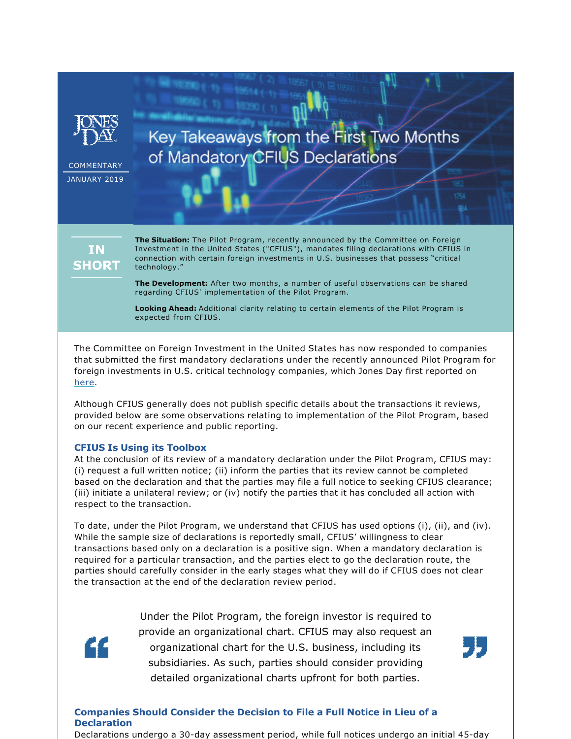

**COMMENTARY** JANUARY 2019

# Key Takeaways from the First Two Months of Mandatory CFIUS Declarations

**IN SHORT**  **The Situation:** The Pilot Program, recently announced by the Committee on Foreign Investment in the United States ("CFIUS"), mandates filing declarations with CFIUS in connection with certain foreign investments in U.S. businesses that possess "critical technology."

**The Development:** After two months, a number of useful observations can be shared regarding CFIUS' implementation of the Pilot Program.

**Looking Ahead:** Additional clarity relating to certain elements of the Pilot Program is expected from CFIUS.

The Committee on Foreign Investment in the United States has now responded to companies that submitted the first mandatory declarations under the recently announced Pilot Program for foreign investments in U.S. critical technology companies, which Jones Day first reported on [here](https://www.jonesday.com/anything-to-declare-cfius-to-mandate-declarations-from-critical-technology-businesses-soon-10-16-2018/).

Although CFIUS generally does not publish specific details about the transactions it reviews, provided below are some observations relating to implementation of the Pilot Program, based on our recent experience and public reporting.

## **CFIUS Is Using its Toolbox**

At the conclusion of its review of a mandatory declaration under the Pilot Program, CFIUS may: (i) request a full written notice; (ii) inform the parties that its review cannot be completed based on the declaration and that the parties may file a full notice to seeking CFIUS clearance; (iii) initiate a unilateral review; or (iv) notify the parties that it has concluded all action with respect to the transaction.

To date, under the Pilot Program, we understand that CFIUS has used options (i), (ii), and (iv). While the sample size of declarations is reportedly small, CFIUS' willingness to clear transactions based only on a declaration is a positive sign. When a mandatory declaration is required for a particular transaction, and the parties elect to go the declaration route, the parties should carefully consider in the early stages what they will do if CFIUS does not clear the transaction at the end of the declaration review period.



Under the Pilot Program, the foreign investor is required to provide an organizational chart. CFIUS may also request an organizational chart for the U.S. business, including its subsidiaries. As such, parties should consider providing detailed organizational charts upfront for both parties.

**Companies Should Consider the Decision to File a Full Notice in Lieu of a Declaration**

Declarations undergo a 30-day assessment period, while full notices undergo an initial 45-day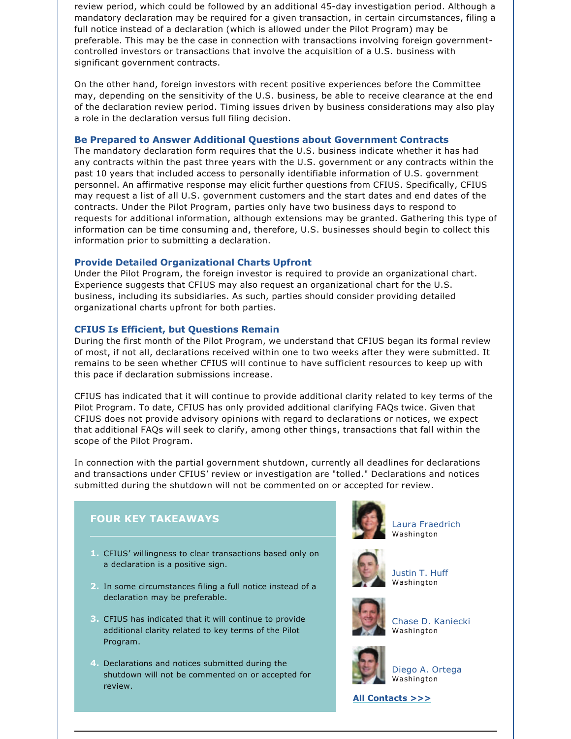review period, which could be followed by an additional 45-day investigation period. Although a mandatory declaration may be required for a given transaction, in certain circumstances, filing a full notice instead of a declaration (which is allowed under the Pilot Program) may be preferable. This may be the case in connection with transactions involving foreign governmentcontrolled investors or transactions that involve the acquisition of a U.S. business with significant government contracts.

On the other hand, foreign investors with recent positive experiences before the Committee may, depending on the sensitivity of the U.S. business, be able to receive clearance at the end of the declaration review period. Timing issues driven by business considerations may also play a role in the declaration versus full filing decision.

#### **Be Prepared to Answer Additional Questions about Government Contracts**

The mandatory declaration form requires that the U.S. business indicate whether it has had any contracts within the past three years with the U.S. government or any contracts within the past 10 years that included access to personally identifiable information of U.S. government personnel. An affirmative response may elicit further questions from CFIUS. Specifically, CFIUS may request a list of all U.S. government customers and the start dates and end dates of the contracts. Under the Pilot Program, parties only have two business days to respond to requests for additional information, although extensions may be granted. Gathering this type of information can be time consuming and, therefore, U.S. businesses should begin to collect this information prior to submitting a declaration.

### **Provide Detailed Organizational Charts Upfront**

Under the Pilot Program, the foreign investor is required to provide an organizational chart. Experience suggests that CFIUS may also request an organizational chart for the U.S. business, including its subsidiaries. As such, parties should consider providing detailed organizational charts upfront for both parties.

#### **CFIUS Is Efficient, but Questions Remain**

During the first month of the Pilot Program, we understand that CFIUS began its formal review of most, if not all, declarations received within one to two weeks after they were submitted. It remains to be seen whether CFIUS will continue to have sufficient resources to keep up with this pace if declaration submissions increase.

CFIUS has indicated that it will continue to provide additional clarity related to key terms of the Pilot Program. To date, CFIUS has only provided additional clarifying FAQs twice. Given that CFIUS does not provide advisory opinions with regard to declarations or notices, we expect that additional FAQs will seek to clarify, among other things, transactions that fall within the scope of the Pilot Program.

In connection with the partial government shutdown, currently all deadlines for declarations and transactions under CFIUS' review or investigation are "tolled." Declarations and notices submitted during the shutdown will not be commented on or accepted for review.



- **3.** CFIUS has indicated that it will continue to provide additional clarity related to key terms of the Pilot Program.
- **4.** Declarations and notices submitted during the shutdown will not be commented on or accepted for review.



[Laura Fraedrich](https://www.jonesday.com/lfraedrich/) Washington

[Justin T. Huff](https://www.jonesday.com/jthuff/) Washington



[Chase D. Kaniecki](https://www.jonesday.com/ckaniecki/) Washington



[Diego A. Ortega](https://www.jonesday.com/dortega/) Washington

**[All Contacts >>>](https://jonesday-ecommunications.com/289/3242/downloads/cfius-pilot-program-all-contacts.pdf)**